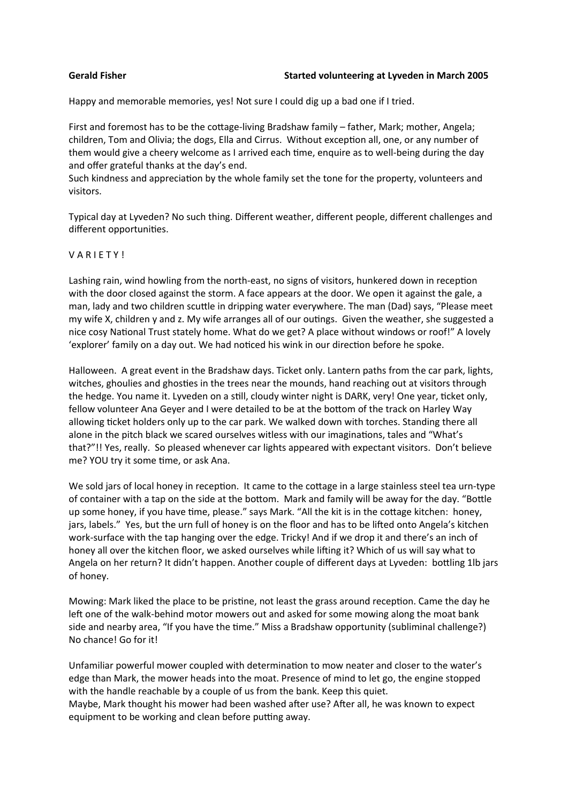Happy and memorable memories, yes! Not sure I could dig up a bad one if I tried.

First and foremost has to be the cottage-living Bradshaw family – father, Mark; mother, Angela; children, Tom and Olivia; the dogs, Ella and Cirrus. Without exception all, one, or any number of them would give a cheery welcome as I arrived each time, enquire as to well-being during the day and offer grateful thanks at the day's end.

Such kindness and appreciation by the whole family set the tone for the property, volunteers and visitors.

Typical day at Lyveden? No such thing. Different weather, different people, different challenges and different opportunities.

## VARIETY!

Lashing rain, wind howling from the north-east, no signs of visitors, hunkered down in reception with the door closed against the storm. A face appears at the door. We open it against the gale, a man, lady and two children scuttle in dripping water everywhere. The man (Dad) says, "Please meet my wife X, children y and z. My wife arranges all of our outings. Given the weather, she suggested a nice cosy National Trust stately home. What do we get? A place without windows or roof!" A lovely 'explorer' family on a day out. We had noticed his wink in our direction before he spoke.

Halloween. A great event in the Bradshaw days. Ticket only. Lantern paths from the car park, lights, witches, ghoulies and ghosties in the trees near the mounds, hand reaching out at visitors through the hedge. You name it. Lyveden on a still, cloudy winter night is DARK, very! One year, ticket only, fellow volunteer Ana Geyer and I were detailed to be at the bottom of the track on Harley Way allowing ticket holders only up to the car park. We walked down with torches. Standing there all alone in the pitch black we scared ourselves witless with our imaginations, tales and "What's that?"!! Yes, really. So pleased whenever car lights appeared with expectant visitors. Don't believe me? YOU try it some time, or ask Ana.

We sold jars of local honey in reception. It came to the cottage in a large stainless steel tea urn-type of container with a tap on the side at the bottom. Mark and family will be away for the day. "Bottle up some honey, if you have time, please." says Mark. "All the kit is in the cottage kitchen: honey, jars, labels." Yes, but the urn full of honey is on the floor and has to be lifted onto Angela's kitchen work-surface with the tap hanging over the edge. Tricky! And if we drop it and there's an inch of honey all over the kitchen floor, we asked ourselves while lifting it? Which of us will say what to Angela on her return? It didn't happen. Another couple of different days at Lyveden: bottling 1lb jars of honey.

Mowing: Mark liked the place to be pristine, not least the grass around reception. Came the day he left one of the walk-behind motor mowers out and asked for some mowing along the moat bank side and nearby area, "If you have the time." Miss a Bradshaw opportunity (subliminal challenge?) No chance! Go for it!

Unfamiliar powerful mower coupled with determination to mow neater and closer to the water's edge than Mark, the mower heads into the moat. Presence of mind to let go, the engine stopped with the handle reachable by a couple of us from the bank. Keep this quiet. Maybe, Mark thought his mower had been washed after use? After all, he was known to expect equipment to be working and clean before putting away.